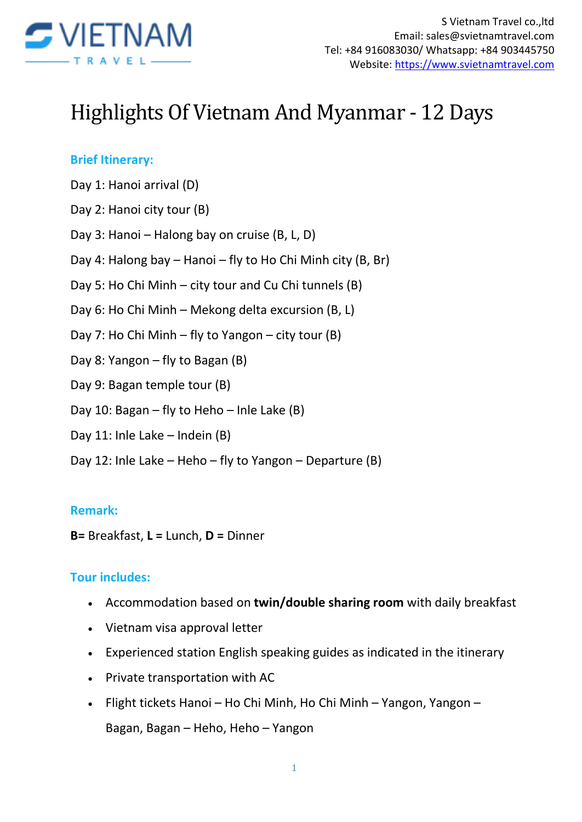

# Highlights Of Vietnam And Myanmar - 12 Days

#### **Brief Itinerary:**

Day 1: Hanoi arrival (D)

Day 2: Hanoi city tour (B)

Day 3: Hanoi – Halong bay on cruise (B, L, D)

- Day 4: Halong bay Hanoi fly to Ho Chi Minh city (B, Br)
- Day 5: Ho Chi Minh city tour and Cu Chi tunnels (B)
- Day 6: Ho Chi Minh Mekong delta excursion (B, L)
- Day 7: Ho Chi Minh fly to Yangon city tour (B)
- Day 8: Yangon fly to Bagan (B)
- Day 9: Bagan temple tour (B)
- Day 10: Bagan fly to Heho Inle Lake (B)
- Day 11: Inle Lake Indein (B)
- Day 12: Inle Lake Heho fly to Yangon Departure (B)

#### **Remark:**

**B=** Breakfast, **L =** Lunch, **D =** Dinner

#### **Tour includes:**

- Accommodation based on **twin/double sharing room** with daily breakfast
- Vietnam visa approval letter
- Experienced station English speaking guides as indicated in the itinerary
- Private transportation with AC
- Flight tickets Hanoi Ho Chi Minh, Ho Chi Minh Yangon, Yangon Bagan, Bagan – Heho, Heho – Yangon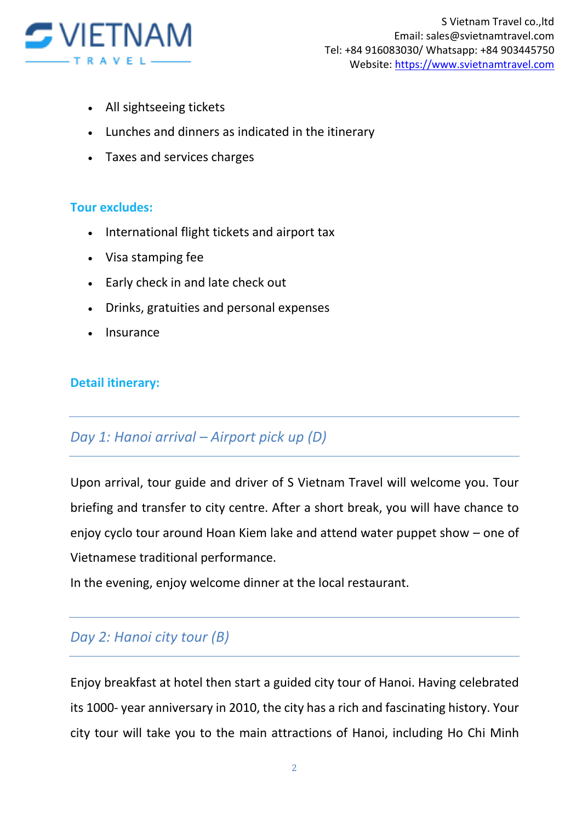

- All sightseeing tickets
- Lunches and dinners as indicated in the itinerary
- Taxes and services charges

#### **Tour excludes:**

- International flight tickets and airport tax
- Visa stamping fee
- Early check in and late check out
- Drinks, gratuities and personal expenses
- Insurance

#### **Detail itinerary:**

## *Day 1: Hanoi arrival – Airport pick up (D)*

Upon arrival, tour guide and driver of S Vietnam Travel will welcome you. Tour briefing and transfer to city centre. After a short break, you will have chance to enjoy cyclo tour around Hoan Kiem lake and attend water puppet show – one of Vietnamese traditional performance.

In the evening, enjoy welcome dinner at the local restaurant.

## *Day 2: Hanoi city tour (B)*

Enjoy breakfast at hotel then start a guided city tour of Hanoi. Having celebrated its 1000- year anniversary in 2010, the city has a rich and fascinating history. Your city tour will take you to the main attractions of Hanoi, including Ho Chi Minh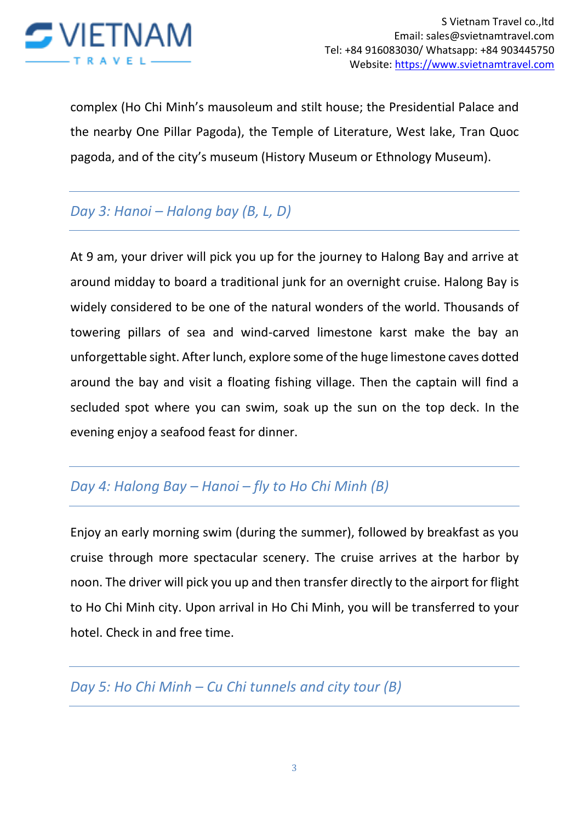

complex (Ho Chi Minh's mausoleum and stilt house; the Presidential Palace and the nearby One Pillar Pagoda), the Temple of Literature, West lake, Tran Quoc pagoda, and of the city's museum (History Museum or Ethnology Museum).

## *Day 3: Hanoi – Halong bay (B, L, D)*

At 9 am, your driver will pick you up for the journey to Halong Bay and arrive at around midday to board a traditional junk for an overnight cruise. Halong Bay is widely considered to be one of the natural wonders of the world. Thousands of towering pillars of sea and wind-carved limestone karst make the bay an unforgettable sight. After lunch, explore some of the huge limestone caves dotted around the bay and visit a floating fishing village. Then the captain will find a secluded spot where you can swim, soak up the sun on the top deck. In the evening enjoy a seafood feast for dinner.

## *Day 4: Halong Bay – Hanoi – fly to Ho Chi Minh (B)*

Enjoy an early morning swim (during the summer), followed by breakfast as you cruise through more spectacular scenery. The cruise arrives at the harbor by noon. The driver will pick you up and then transfer directly to the airport for flight to Ho Chi Minh city. Upon arrival in Ho Chi Minh, you will be transferred to your hotel. Check in and free time.

## *Day 5: Ho Chi Minh – Cu Chi tunnels and city tour (B)*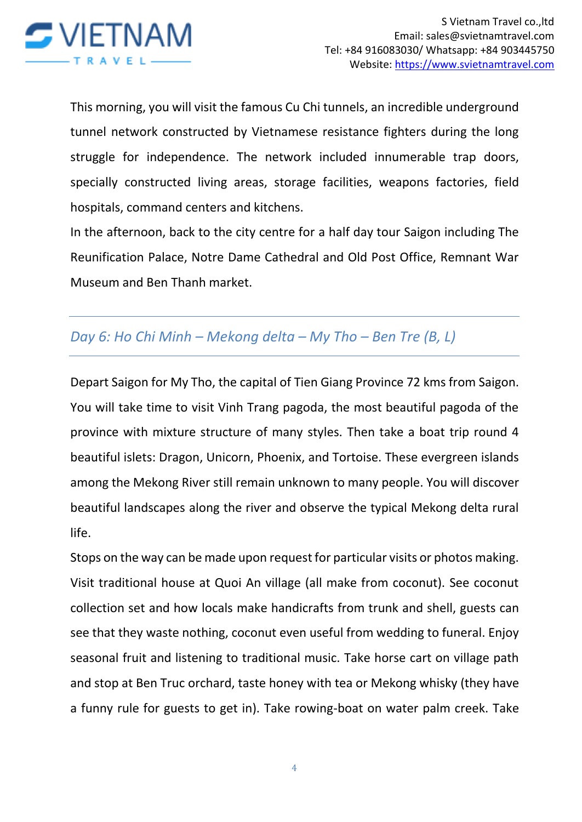

This morning, you will visit the famous Cu Chi tunnels, an incredible underground tunnel network constructed by Vietnamese resistance fighters during the long struggle for independence. The network included innumerable trap doors, specially constructed living areas, storage facilities, weapons factories, field hospitals, command centers and kitchens.

In the afternoon, back to the city centre for a half day tour Saigon including The Reunification Palace, Notre Dame Cathedral and Old Post Office, Remnant War Museum and Ben Thanh market.

## *Day 6: Ho Chi Minh – Mekong delta – My Tho – Ben Tre (B, L)*

Depart Saigon for My Tho, the capital of Tien Giang Province 72 kms from Saigon. You will take time to visit Vinh Trang pagoda, the most beautiful pagoda of the province with mixture structure of many styles. Then take a boat trip round 4 beautiful islets: Dragon, Unicorn, Phoenix, and Tortoise. These evergreen islands among the Mekong River still remain unknown to many people. You will discover beautiful landscapes along the river and observe the typical Mekong delta rural life.

Stops on the way can be made upon request for particular visits or photos making. Visit traditional house at Quoi An village (all make from coconut). See coconut collection set and how locals make handicrafts from trunk and shell, guests can see that they waste nothing, coconut even useful from wedding to funeral. Enjoy seasonal fruit and listening to traditional music. Take horse cart on village path and stop at Ben Truc orchard, taste honey with tea or Mekong whisky (they have a funny rule for guests to get in). Take rowing-boat on water palm creek. Take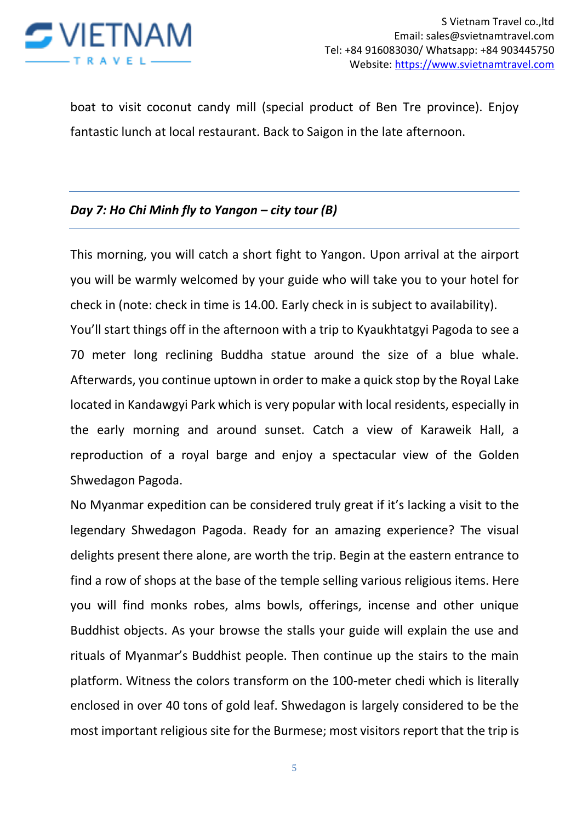

boat to visit coconut candy mill (special product of Ben Tre province). Enjoy fantastic lunch at local restaurant. Back to Saigon in the late afternoon.

#### *Day 7: Ho Chi Minh fly to Yangon – city tour (B)*

This morning, you will catch a short fight to Yangon. Upon arrival at the airport you will be warmly welcomed by your guide who will take you to your hotel for check in (note: check in time is 14.00. Early check in is subject to availability). You'll start things off in the afternoon with a trip to Kyaukhtatgyi Pagoda to see a 70 meter long reclining Buddha statue around the size of a blue whale. Afterwards, you continue uptown in order to make a quick stop by the Royal Lake located in Kandawgyi Park which is very popular with local residents, especially in the early morning and around sunset. Catch a view of Karaweik Hall, a reproduction of a royal barge and enjoy a spectacular view of the Golden Shwedagon Pagoda.

No Myanmar expedition can be considered truly great if it's lacking a visit to the legendary Shwedagon Pagoda. Ready for an amazing experience? The visual delights present there alone, are worth the trip. Begin at the eastern entrance to find a row of shops at the base of the temple selling various religious items. Here you will find monks robes, alms bowls, offerings, incense and other unique Buddhist objects. As your browse the stalls your guide will explain the use and rituals of Myanmar's Buddhist people. Then continue up the stairs to the main platform. Witness the colors transform on the 100-meter chedi which is literally enclosed in over 40 tons of gold leaf. Shwedagon is largely considered to be the most important religious site for the Burmese; most visitors report that the trip is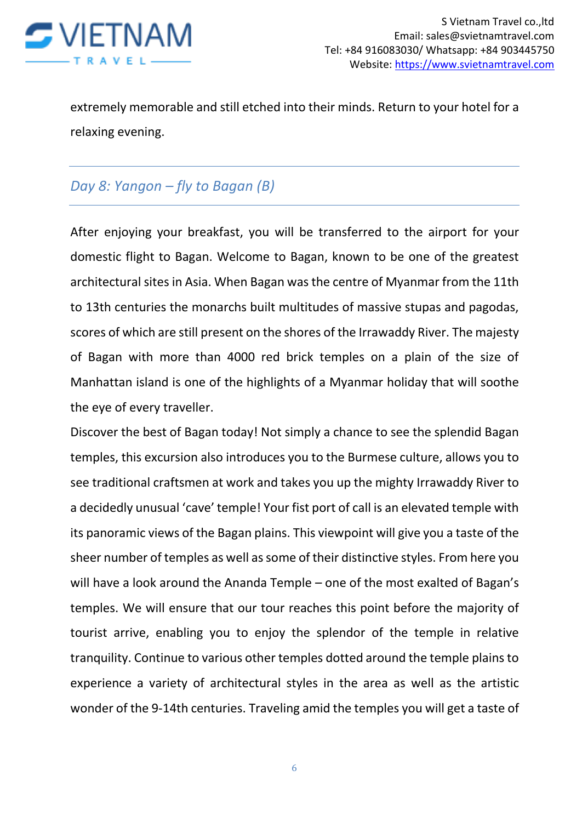

extremely memorable and still etched into their minds. Return to your hotel for a relaxing evening.

## *Day 8: Yangon – fly to Bagan (B)*

After enjoying your breakfast, you will be transferred to the airport for your domestic flight to Bagan. Welcome to Bagan, known to be one of the greatest architectural sites in Asia. When Bagan was the centre of Myanmar from the 11th to 13th centuries the monarchs built multitudes of massive stupas and pagodas, scores of which are still present on the shores of the Irrawaddy River. The majesty of Bagan with more than 4000 red brick temples on a plain of the size of Manhattan island is one of the highlights of a Myanmar holiday that will soothe the eye of every traveller.

Discover the best of Bagan today! Not simply a chance to see the splendid Bagan temples, this excursion also introduces you to the Burmese culture, allows you to see traditional craftsmen at work and takes you up the mighty Irrawaddy River to a decidedly unusual 'cave' temple! Your fist port of call is an elevated temple with its panoramic views of the Bagan plains. This viewpoint will give you a taste of the sheer number of temples as well as some of their distinctive styles. From here you will have a look around the Ananda Temple – one of the most exalted of Bagan's temples. We will ensure that our tour reaches this point before the majority of tourist arrive, enabling you to enjoy the splendor of the temple in relative tranquility. Continue to various other temples dotted around the temple plains to experience a variety of architectural styles in the area as well as the artistic wonder of the 9-14th centuries. Traveling amid the temples you will get a taste of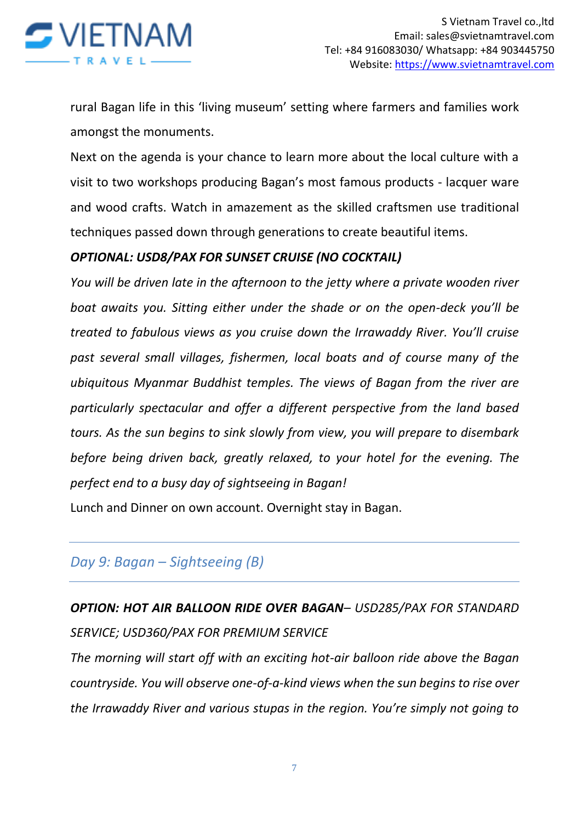

rural Bagan life in this 'living museum' setting where farmers and families work amongst the monuments.

Next on the agenda is your chance to learn more about the local culture with a visit to two workshops producing Bagan's most famous products - lacquer ware and wood crafts. Watch in amazement as the skilled craftsmen use traditional techniques passed down through generations to create beautiful items.

#### *OPTIONAL: USD8/PAX FOR SUNSET CRUISE (NO COCKTAIL)*

*You will be driven late in the afternoon to the jetty where a private wooden river boat awaits you. Sitting either under the shade or on the open-deck you'll be treated to fabulous views as you cruise down the Irrawaddy River. You'll cruise past several small villages, fishermen, local boats and of course many of the ubiquitous Myanmar Buddhist temples. The views of Bagan from the river are particularly spectacular and offer a different perspective from the land based tours. As the sun begins to sink slowly from view, you will prepare to disembark before being driven back, greatly relaxed, to your hotel for the evening. The perfect end to a busy day of sightseeing in Bagan!*

Lunch and Dinner on own account. Overnight stay in Bagan.

#### *Day 9: Bagan – Sightseeing (B)*

*OPTION: HOT AIR BALLOON RIDE OVER BAGAN– USD285/PAX FOR STANDARD SERVICE; USD360/PAX FOR PREMIUM SERVICE*

*The morning will start off with an exciting hot-air balloon ride above the Bagan countryside. You will observe one-of-a-kind views when the sun begins to rise over the Irrawaddy River and various stupas in the region. You're simply not going to*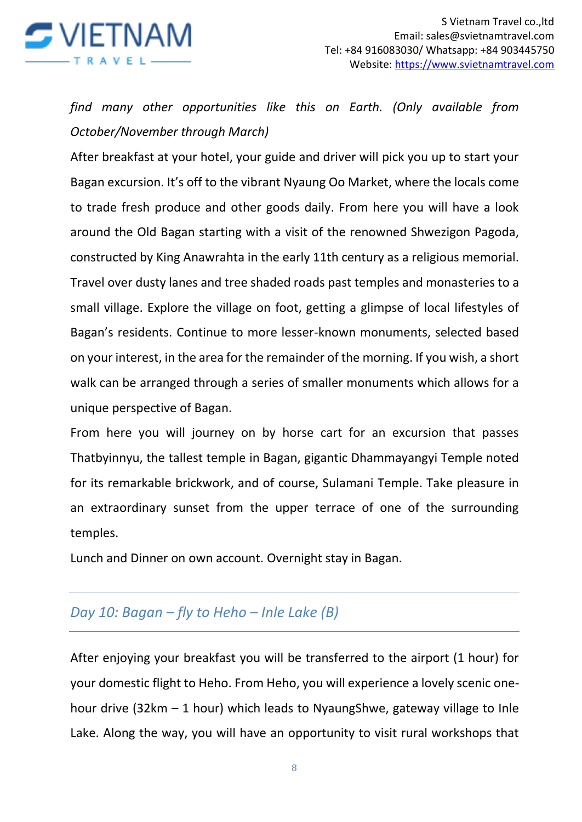

*find many other opportunities like this on Earth. (Only available from October/November through March)*

After breakfast at your hotel, your guide and driver will pick you up to start your Bagan excursion. It's off to the vibrant Nyaung Oo Market, where the locals come to trade fresh produce and other goods daily. From here you will have a look around the Old Bagan starting with a visit of the renowned Shwezigon Pagoda, constructed by King Anawrahta in the early 11th century as a religious memorial. Travel over dusty lanes and tree shaded roads past temples and monasteries to a small village. Explore the village on foot, getting a glimpse of local lifestyles of Bagan's residents. Continue to more lesser-known monuments, selected based on your interest, in the area for the remainder of the morning. If you wish, a short walk can be arranged through a series of smaller monuments which allows for a unique perspective of Bagan.

From here you will journey on by horse cart for an excursion that passes Thatbyinnyu, the tallest temple in Bagan, gigantic Dhammayangyi Temple noted for its remarkable brickwork, and of course, Sulamani Temple. Take pleasure in an extraordinary sunset from the upper terrace of one of the surrounding temples.

Lunch and Dinner on own account. Overnight stay in Bagan.

## *Day 10: Bagan – fly to Heho – Inle Lake (B)*

After enjoying your breakfast you will be transferred to the airport (1 hour) for your domestic flight to Heho. From Heho, you will experience a lovely scenic onehour drive (32km  $-1$  hour) which leads to NyaungShwe, gateway village to Inle Lake. Along the way, you will have an opportunity to visit rural workshops that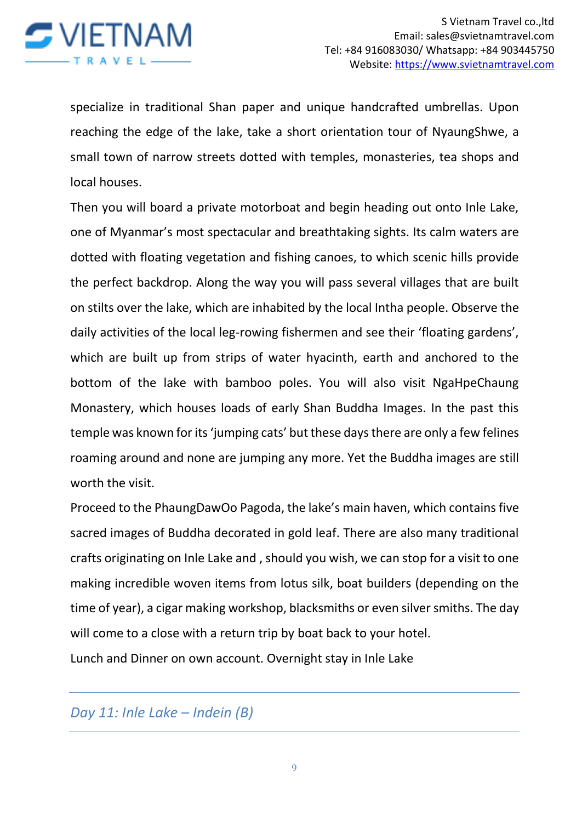

specialize in traditional Shan paper and unique handcrafted umbrellas. Upon reaching the edge of the lake, take a short orientation tour of NyaungShwe, a small town of narrow streets dotted with temples, monasteries, tea shops and local houses.

Then you will board a private motorboat and begin heading out onto Inle Lake, one of Myanmar's most spectacular and breathtaking sights. Its calm waters are dotted with floating vegetation and fishing canoes, to which scenic hills provide the perfect backdrop. Along the way you will pass several villages that are built on stilts over the lake, which are inhabited by the local Intha people. Observe the daily activities of the local leg-rowing fishermen and see their 'floating gardens', which are built up from strips of water hyacinth, earth and anchored to the bottom of the lake with bamboo poles. You will also visit NgaHpeChaung Monastery, which houses loads of early Shan Buddha Images. In the past this temple was known for its 'jumping cats' but these days there are only a few felines roaming around and none are jumping any more. Yet the Buddha images are still worth the visit.

Proceed to the PhaungDawOo Pagoda, the lake's main haven, which contains five sacred images of Buddha decorated in gold leaf. There are also many traditional crafts originating on Inle Lake and , should you wish, we can stop for a visit to one making incredible woven items from lotus silk, boat builders (depending on the time of year), a cigar making workshop, blacksmiths or even silver smiths. The day will come to a close with a return trip by boat back to your hotel.

Lunch and Dinner on own account. Overnight stay in Inle Lake

*Day 11: Inle Lake – Indein (B)*